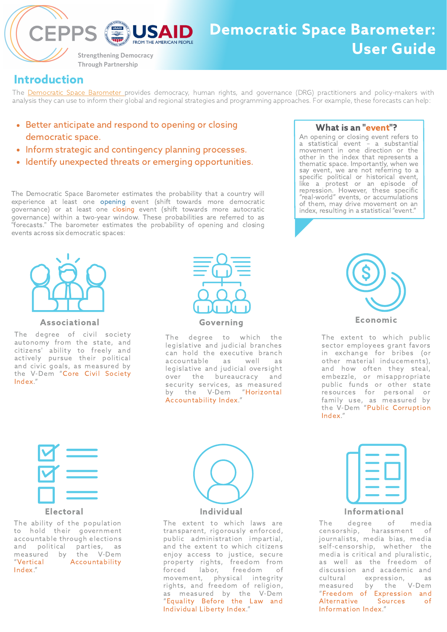The [Democratic](https://www.v-dem.net/demspace) Space Barometer provides democracy, human rights, and governance (DRG) practitioners and policy-makers with analysis they can use to inform their global and regional strategies and programming approaches. For example, these forecasts can help:

- Better anticipate and respond to opening or closing democratic space.
- Inform strategic and contingency planning processes.
- Identify unexpected threats or emerging opportunities.

# Introduction

The Democratic Space Barometer estimates the probability that a country will experience at least one opening event (shift towards more democratic governance) or at least one closing event (shift towards more autocratic governance) within a two-year window. These probabilities are referred to as "forecasts." The barometer estimates the probability of opening and closing events across six democratic spaces:

# What is an "event"?



# Democratic Space Barometer: User Guide

**Strengthening Democracy Through Partnership** 

USAID

The extent to which public sector employees grant favors in exchange for bribes (or other material inducements), and how often they steal, embezzle, or misappropriate public funds or other state resources for personal or family use, as measured by the V-Dem "Public Corruption Index."







An opening or closing event refers to a statistical event – a substantial movement in one direction or the other in the index that represents a thematic space. Importantly, when we say event, we are not referring to a specific political or historical event, like a protest or an episode of repression. However, these specific "real-world" events, or accumulations of them, may drive movement on an index, resulting in a statistical "event."



The extent to which laws are transparent, rigorously enforced, public administration impartial, and the extent to which citizens enjoy access to justice, secure property rights, freedom from forced labor, freedom of movement, physical integrity rights, and freedom of religion, as measured by the V-Dem "Equality Before the Law and Individual Liberty Index."





#### Individual



### Electoral

#### Associational

The degree of civil society autonomy from the state, and citizens' ability to freely and actively pursue their political and civic goals, as measured by the V-Dem "Core Civil Society Index."

# Informational

The ability of the population to hold their government accountable through elections and political parties, as measured by the V-Dem "Vertical Accountability Index."



The degree to which the legislative and judicial branches can hold the executive branch accountable as well as legislative and judicial oversight over the bureaucracy and security services, as measured by the V-Dem "Horizontal Accountability Index."

> The degree of media censorship, harassment of journalists, media bias, media self-censorship, whether the media is critical and pluralistic, as well as the freedom of discussion and academic and cultural expression, as measured by the V-Dem "Freedom of Expression and Alternative Sources of Information Index."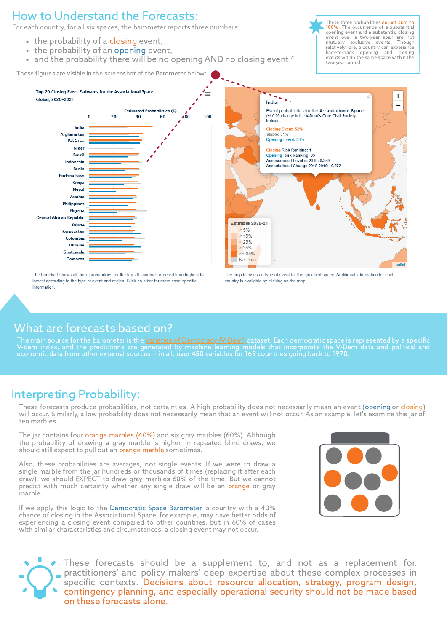# How to Understand the Forecasts:

For each country, for all six spaces, the barometer reports three numbers:

- the probability of a closing event,
- the probability of an opening event,
- and the probability there will be no opening AND no closing event.\*

These three probabilities do not sum to 100%. The occurrence of a substantial opening event and a substantial closing event over a two-year span are not mutually exclusive events. Though relatively rare, a country can experience back-to-back opening and closing events within the same space within the two-year period.

 $\mathbf +$ 

#### India

Event probabilities for the Associational Space (+/-0.05 change in the V-Dem's Core Civil Society  $Index)$ 

**Closing Event: 52%** Stable: 31% **Opening Event: 34%** 

**Closing Risk Ranking: 1 Opening Risk Ranking: 35** Associational Level in 2019: 0.359 Associational Change 2018-2019: -0.072

**Estimate 2020-21** 

The bar chart shows all three probabilities for the top 20 countries ordered from highest to lowest according to the type of event and region. Click on a bar for more case-specific information.



The map focuses on type of event for the specified space. Additional information for each country is available by clicking on the map.

# Interpreting Probability:

These forecasts produce probabilities, not certainties. A high probability does not necessarily mean an event (opening or closing) will occur. Similarly, a low probability does not necessarily mean that an event will not occur. As an example, let's examine this jar of ten marbles.

If we apply this logic to the [Democratic](https://www.v-dem.net/demspace) Space Barometer, a country with a 40% chance of closing in the Associational Space, for example, may have better odds of experiencing a closing event compared to other countries, but in 60% of cases with similar characteristics and circumstances, a closing event may not occur.



The jar contains four orange marbles (40%) and six gray marbles (60%). Although the probability of drawing a gray marble is higher, in repeated blind draws, we should still expect to pull out an orange marble sometimes.



The main source for the barometer is the <u>Varieties of [Democracy](https://www.v-dem.net/) (V-Dem) dataset.</u> Each democratic space is represented by a specific V-dem index, and the predictions are generated by machine learning models that incorporate the V-Dem data and political and economic data from other external sources -- in all, over 450 variables for 169 countries going back to 1970.

Also, these probabilities are averages, not single events. If we were to draw a single marble from the jar hundreds or thousands of times (replacing it after each draw), we should EXPECT to draw gray marbles 60% of the time. But we cannot predict with much certainty whether any single draw will be an orange or gray marble.

> These forecasts should be a supplement to, and not as a replacement for, practitioners' and policy-makers' deep expertise about these complex processes in specific contexts. Decisions about resource allocation, strategy, program design, contingency planning, and especially operational security should not be made based on these forecasts alone.

# What are forecasts based on?

These figures are visible in the screenshot of the Barometer below:

#### Top 20 Closing Event Estimates for the Associational Space Global, 2020-2021

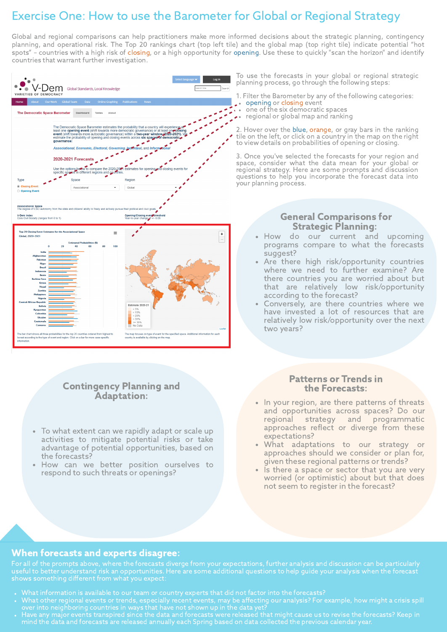# Contingency Planning and Adaptation:

To what extent can we rapidly adapt or scale up activities to mitigate potential risks or take advantage of potential opportunities, based on the forecasts?

- In your region, are there patterns of threats and opportunities across spaces? Do our regional strategy and programmatic approaches reflect or diverge from these expectations?
- What adaptations to our strategy or approaches should we consider or plan for, given these regional patterns or trends? • Is there a space or sector that you are very worried (or optimistic) about but that does not seem to register in the forecast?
- How can we better position ourselves to respond to such threats or openings?

### Patterns or Trends in the Forecasts:

# Exercise One: How to use the Barometer for Global or Regional Strategy

Global and regional comparisons can help practitioners make more informed decisions about the strategic planning, contingency planning, and operational risk. The Top 20 rankings chart (top left tile) and the global map (top right tile) indicate potential "hot spots" – countries with a high risk of closing, or a high opportunity for opening. Use these to quickly "scan the horizon" and identify countries that warrant further investigation.

- programs compare to what the forecasts
- Are there high risk/opportunity countries where we need to further examine? Are there countries you are worried about but that are relatively low risk/opportunity
- Conversely, are there countries where we have invested a lot of resources that are relatively low risk/opportunity over the next



### When forecasts and experts disagree:

For all of the prompts above, where the forecasts diverge from your expectations, further analysis and discussion can be particularly useful to better understand risk an opportunities. Here are some additional questions to help guide your analysis when the forecast shows something different from what you expect:

- What information is available to our team or country experts that did not factor into the forecasts?
- What other regional events or trends, especially recent events, may be affecting our analysis? For example, how might a crisis spill over into neighboring countries in ways that have not shown up in the data yet?
- Have any major events transpired since the data and forecasts were released that might cause us to revise the forecasts? Keep in mind the data and forecasts are released annually each Spring based on data collected the previous calendar year.